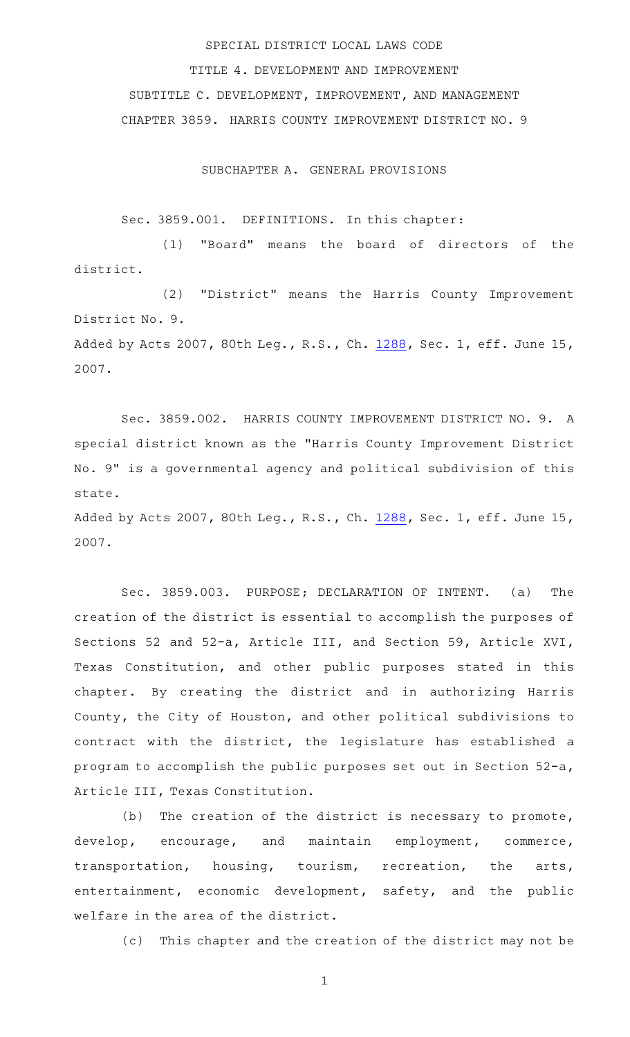## SPECIAL DISTRICT LOCAL LAWS CODE

TITLE 4. DEVELOPMENT AND IMPROVEMENT SUBTITLE C. DEVELOPMENT, IMPROVEMENT, AND MANAGEMENT CHAPTER 3859. HARRIS COUNTY IMPROVEMENT DISTRICT NO. 9

SUBCHAPTER A. GENERAL PROVISIONS

Sec. 3859.001. DEFINITIONS. In this chapter:

(1) "Board" means the board of directors of the district.

(2) "District" means the Harris County Improvement District No. 9. Added by Acts 2007, 80th Leg., R.S., Ch. [1288,](http://www.legis.state.tx.us/tlodocs/80R/billtext/html/HB04110F.HTM) Sec. 1, eff. June 15, 2007.

Sec. 3859.002. HARRIS COUNTY IMPROVEMENT DISTRICT NO. 9. A special district known as the "Harris County Improvement District No. 9" is a governmental agency and political subdivision of this state.

Added by Acts 2007, 80th Leg., R.S., Ch. [1288,](http://www.legis.state.tx.us/tlodocs/80R/billtext/html/HB04110F.HTM) Sec. 1, eff. June 15, 2007.

Sec. 3859.003. PURPOSE; DECLARATION OF INTENT. (a) The creation of the district is essential to accomplish the purposes of Sections 52 and 52-a, Article III, and Section 59, Article XVI, Texas Constitution, and other public purposes stated in this chapter. By creating the district and in authorizing Harris County, the City of Houston, and other political subdivisions to contract with the district, the legislature has established a program to accomplish the public purposes set out in Section 52-a, Article III, Texas Constitution.

(b) The creation of the district is necessary to promote, develop, encourage, and maintain employment, commerce, transportation, housing, tourism, recreation, the arts, entertainment, economic development, safety, and the public welfare in the area of the district.

(c) This chapter and the creation of the district may not be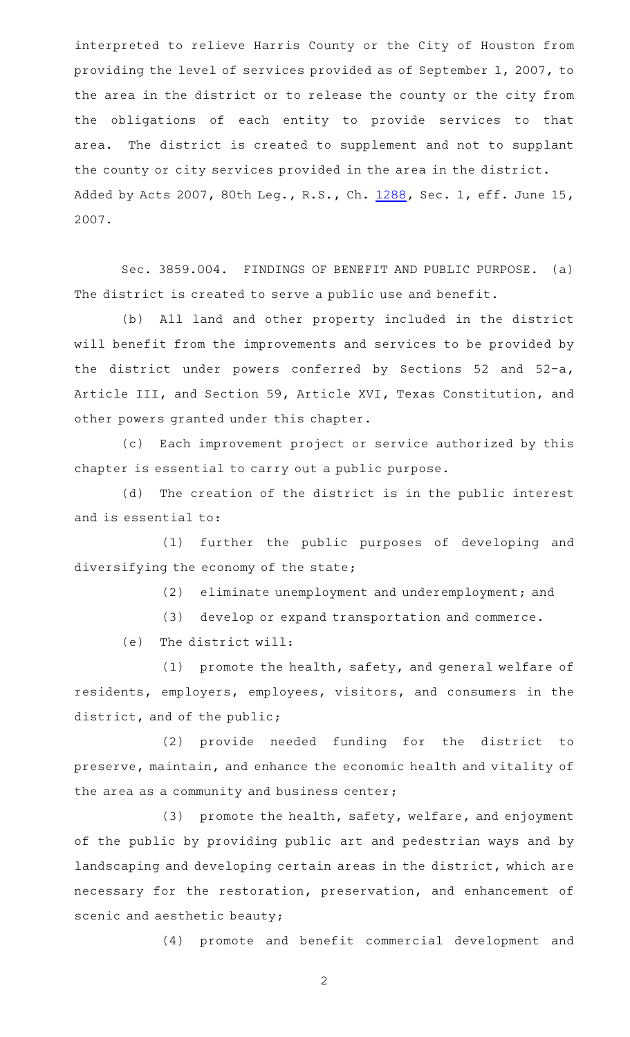interpreted to relieve Harris County or the City of Houston from providing the level of services provided as of September 1, 2007, to the area in the district or to release the county or the city from the obligations of each entity to provide services to that area. The district is created to supplement and not to supplant the county or city services provided in the area in the district. Added by Acts 2007, 80th Leg., R.S., Ch. [1288,](http://www.legis.state.tx.us/tlodocs/80R/billtext/html/HB04110F.HTM) Sec. 1, eff. June 15, 2007.

Sec. 3859.004. FINDINGS OF BENEFIT AND PUBLIC PURPOSE. (a) The district is created to serve a public use and benefit.

(b) All land and other property included in the district will benefit from the improvements and services to be provided by the district under powers conferred by Sections 52 and 52-a, Article III, and Section 59, Article XVI, Texas Constitution, and other powers granted under this chapter.

(c) Each improvement project or service authorized by this chapter is essential to carry out a public purpose.

(d) The creation of the district is in the public interest and is essential to:

(1) further the public purposes of developing and diversifying the economy of the state;

(2) eliminate unemployment and underemployment; and

(3) develop or expand transportation and commerce.

 $(e)$  The district will:

(1) promote the health, safety, and general welfare of residents, employers, employees, visitors, and consumers in the district, and of the public;

(2) provide needed funding for the district to preserve, maintain, and enhance the economic health and vitality of the area as a community and business center;

(3) promote the health, safety, welfare, and enjoyment of the public by providing public art and pedestrian ways and by landscaping and developing certain areas in the district, which are necessary for the restoration, preservation, and enhancement of scenic and aesthetic beauty;

(4) promote and benefit commercial development and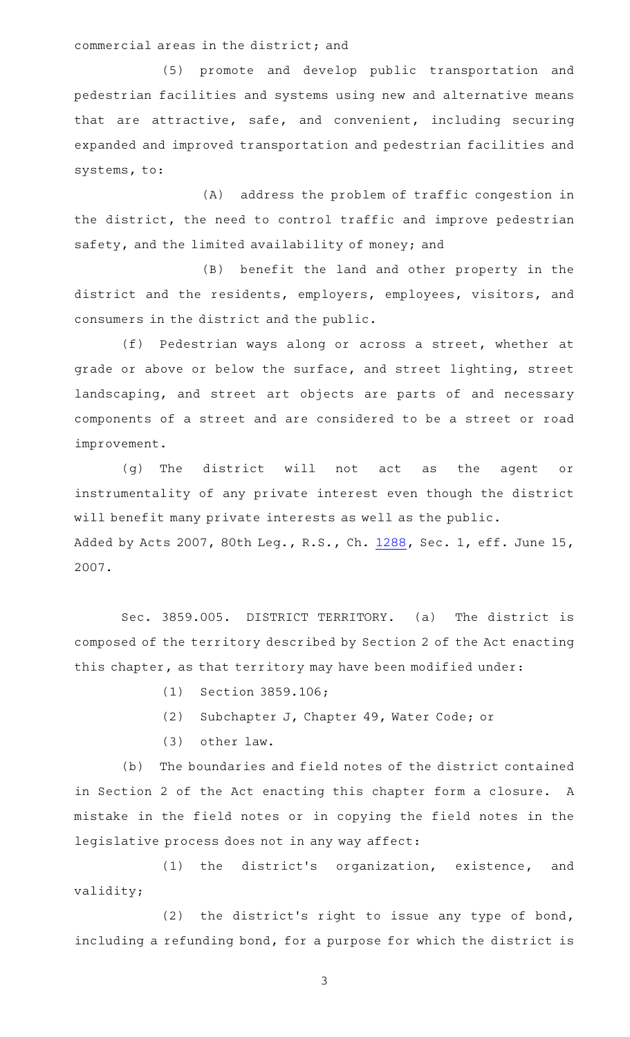commercial areas in the district; and

(5) promote and develop public transportation and pedestrian facilities and systems using new and alternative means that are attractive, safe, and convenient, including securing expanded and improved transportation and pedestrian facilities and systems, to:

(A) address the problem of traffic congestion in the district, the need to control traffic and improve pedestrian safety, and the limited availability of money; and

(B) benefit the land and other property in the district and the residents, employers, employees, visitors, and consumers in the district and the public.

(f) Pedestrian ways along or across a street, whether at grade or above or below the surface, and street lighting, street landscaping, and street art objects are parts of and necessary components of a street and are considered to be a street or road improvement.

(g) The district will not act as the agent or instrumentality of any private interest even though the district will benefit many private interests as well as the public. Added by Acts 2007, 80th Leg., R.S., Ch. [1288,](http://www.legis.state.tx.us/tlodocs/80R/billtext/html/HB04110F.HTM) Sec. 1, eff. June 15, 2007.

Sec. 3859.005. DISTRICT TERRITORY. (a) The district is composed of the territory described by Section 2 of the Act enacting this chapter, as that territory may have been modified under:

- (1) Section 3859.106;
- (2) Subchapter J, Chapter 49, Water Code; or
- $(3)$  other law.

(b) The boundaries and field notes of the district contained in Section 2 of the Act enacting this chapter form a closure. A mistake in the field notes or in copying the field notes in the legislative process does not in any way affect:

(1) the district's organization, existence, and validity;

(2) the district's right to issue any type of bond, including a refunding bond, for a purpose for which the district is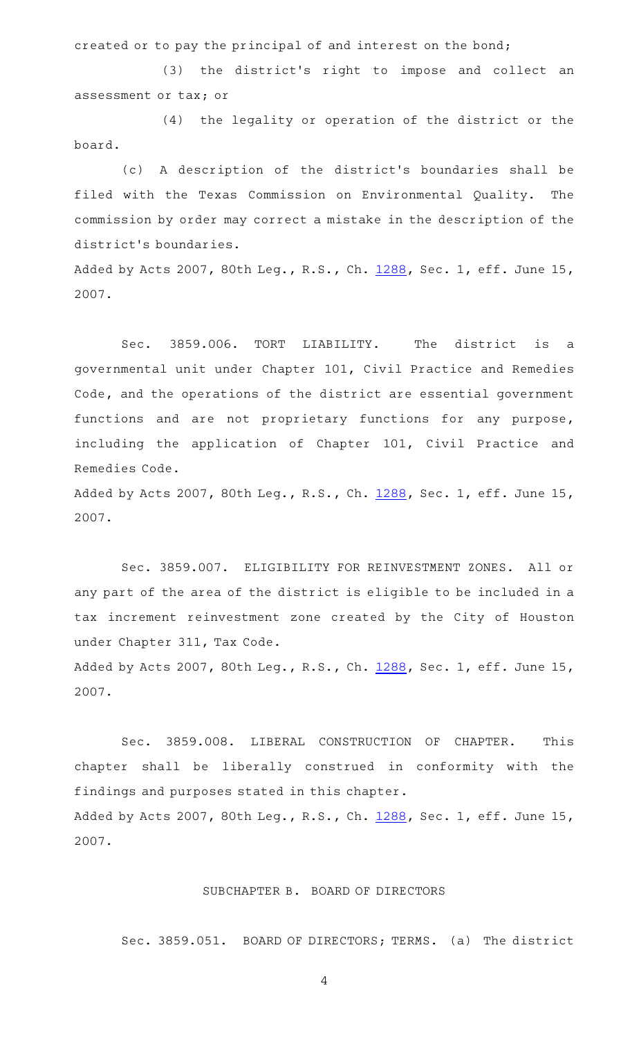created or to pay the principal of and interest on the bond;

(3) the district's right to impose and collect an assessment or tax; or

 $(4)$  the legality or operation of the district or the board.

(c)AAA description of the district 's boundaries shall be filed with the Texas Commission on Environmental Quality. The commission by order may correct a mistake in the description of the district 's boundaries.

Added by Acts 2007, 80th Leg., R.S., Ch. [1288,](http://www.legis.state.tx.us/tlodocs/80R/billtext/html/HB04110F.HTM) Sec. 1, eff. June 15, 2007.

Sec. 3859.006. TORT LIABILITY. The district is a governmental unit under Chapter 101, Civil Practice and Remedies Code, and the operations of the district are essential government functions and are not proprietary functions for any purpose, including the application of Chapter 101, Civil Practice and Remedies Code.

Added by Acts 2007, 80th Leg., R.S., Ch. [1288,](http://www.legis.state.tx.us/tlodocs/80R/billtext/html/HB04110F.HTM) Sec. 1, eff. June 15, 2007.

Sec. 3859.007. ELIGIBILITY FOR REINVESTMENT ZONES. All or any part of the area of the district is eligible to be included in a tax increment reinvestment zone created by the City of Houston under Chapter 311, Tax Code.

Added by Acts 2007, 80th Leg., R.S., Ch. [1288,](http://www.legis.state.tx.us/tlodocs/80R/billtext/html/HB04110F.HTM) Sec. 1, eff. June 15, 2007.

Sec. 3859.008. LIBERAL CONSTRUCTION OF CHAPTER. This chapter shall be liberally construed in conformity with the findings and purposes stated in this chapter. Added by Acts 2007, 80th Leg., R.S., Ch. [1288,](http://www.legis.state.tx.us/tlodocs/80R/billtext/html/HB04110F.HTM) Sec. 1, eff. June 15, 2007.

# SUBCHAPTER B. BOARD OF DIRECTORS

Sec. 3859.051. BOARD OF DIRECTORS; TERMS. (a) The district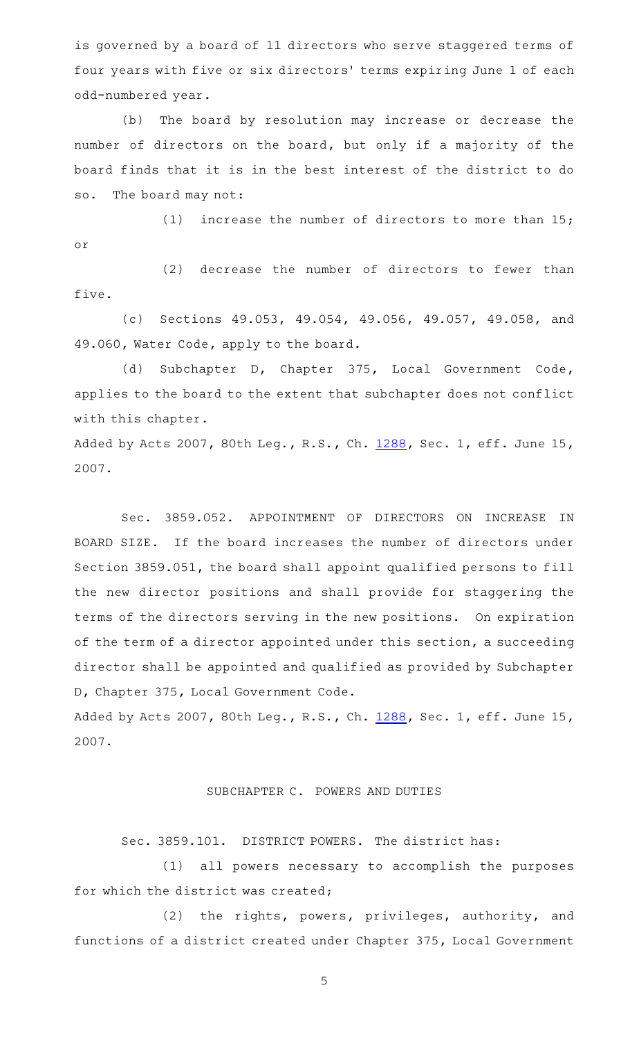is governed by a board of 11 directors who serve staggered terms of four years with five or six directors' terms expiring June 1 of each odd-numbered year.

(b) The board by resolution may increase or decrease the number of directors on the board, but only if a majority of the board finds that it is in the best interest of the district to do so. The board may not:

(1) increase the number of directors to more than  $15;$ or

(2) decrease the number of directors to fewer than five.

(c) Sections 49.053, 49.054, 49.056, 49.057, 49.058, and 49.060, Water Code, apply to the board.

(d) Subchapter D, Chapter 375, Local Government Code, applies to the board to the extent that subchapter does not conflict with this chapter.

Added by Acts 2007, 80th Leg., R.S., Ch. [1288,](http://www.legis.state.tx.us/tlodocs/80R/billtext/html/HB04110F.HTM) Sec. 1, eff. June 15, 2007.

Sec. 3859.052. APPOINTMENT OF DIRECTORS ON INCREASE IN BOARD SIZE. If the board increases the number of directors under Section 3859.051, the board shall appoint qualified persons to fill the new director positions and shall provide for staggering the terms of the directors serving in the new positions. On expiration of the term of a director appointed under this section, a succeeding director shall be appointed and qualified as provided by Subchapter D, Chapter 375, Local Government Code.

Added by Acts 2007, 80th Leg., R.S., Ch. [1288,](http://www.legis.state.tx.us/tlodocs/80R/billtext/html/HB04110F.HTM) Sec. 1, eff. June 15, 2007.

#### SUBCHAPTER C. POWERS AND DUTIES

Sec. 3859.101. DISTRICT POWERS. The district has:

(1) all powers necessary to accomplish the purposes for which the district was created;

(2) the rights, powers, privileges, authority, and functions of a district created under Chapter 375, Local Government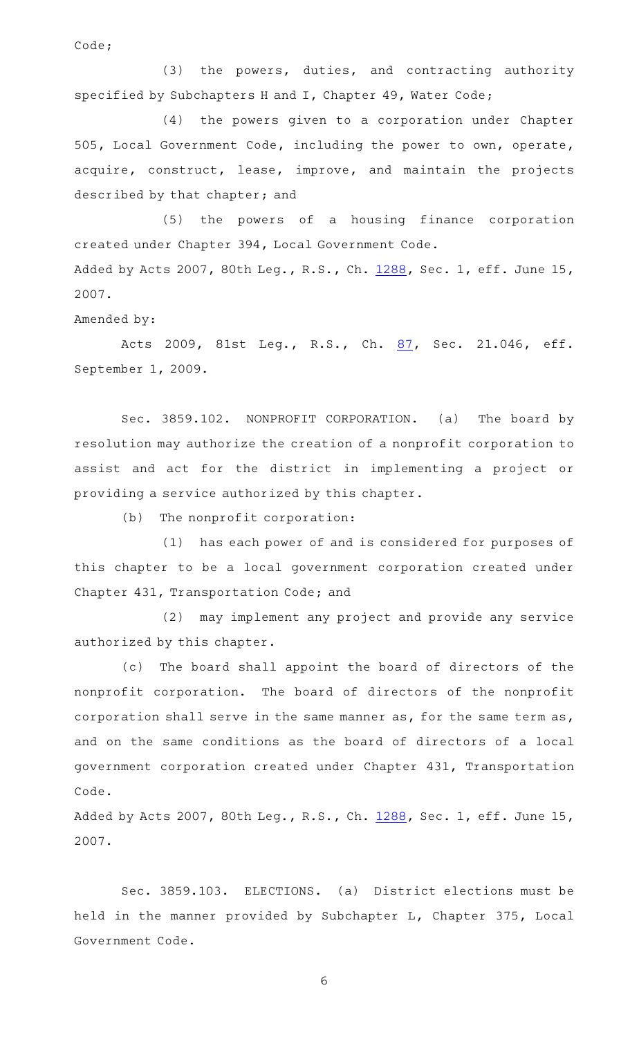Code;

 $(3)$  the powers, duties, and contracting authority specified by Subchapters H and I, Chapter 49, Water Code;

(4) the powers given to a corporation under Chapter 505, Local Government Code, including the power to own, operate, acquire, construct, lease, improve, and maintain the projects described by that chapter; and

(5) the powers of a housing finance corporation created under Chapter 394, Local Government Code. Added by Acts 2007, 80th Leg., R.S., Ch. [1288,](http://www.legis.state.tx.us/tlodocs/80R/billtext/html/HB04110F.HTM) Sec. 1, eff. June 15, 2007.

Amended by:

Acts 2009, 81st Leg., R.S., Ch. [87](http://www.legis.state.tx.us/tlodocs/81R/billtext/html/SB01969F.HTM), Sec. 21.046, eff. September 1, 2009.

Sec. 3859.102. NONPROFIT CORPORATION. (a) The board by resolution may authorize the creation of a nonprofit corporation to assist and act for the district in implementing a project or providing a service authorized by this chapter.

 $(b)$  The nonprofit corporation:

(1) has each power of and is considered for purposes of this chapter to be a local government corporation created under Chapter 431, Transportation Code; and

(2) may implement any project and provide any service authorized by this chapter.

(c) The board shall appoint the board of directors of the nonprofit corporation. The board of directors of the nonprofit corporation shall serve in the same manner as, for the same term as, and on the same conditions as the board of directors of a local government corporation created under Chapter 431, Transportation Code.

Added by Acts 2007, 80th Leg., R.S., Ch. [1288,](http://www.legis.state.tx.us/tlodocs/80R/billtext/html/HB04110F.HTM) Sec. 1, eff. June 15, 2007.

Sec. 3859.103. ELECTIONS. (a) District elections must be held in the manner provided by Subchapter L, Chapter 375, Local Government Code.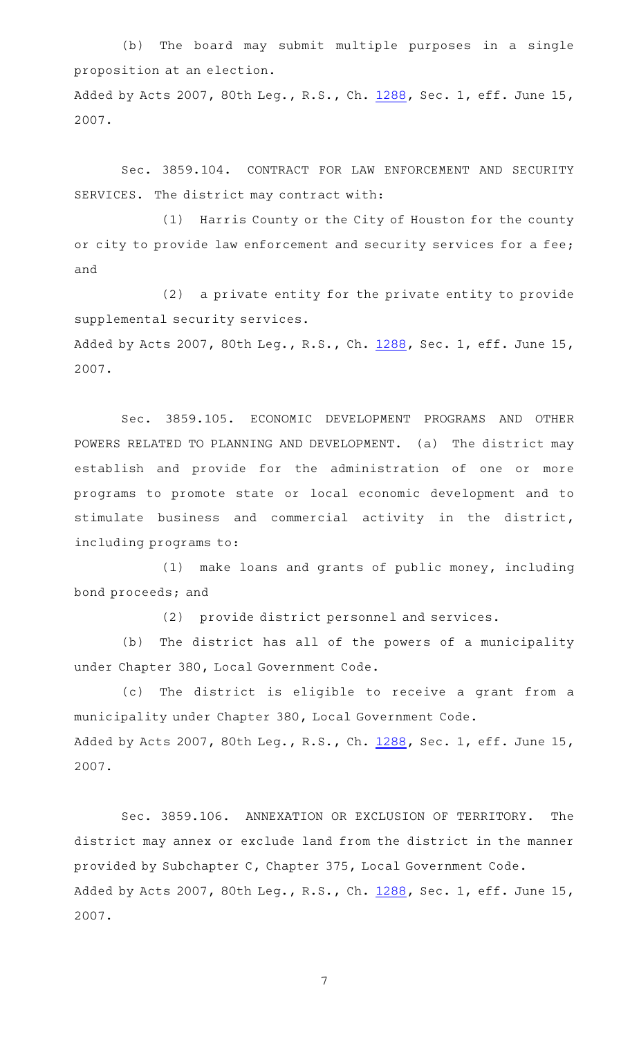(b) The board may submit multiple purposes in a single proposition at an election.

Added by Acts 2007, 80th Leg., R.S., Ch. [1288,](http://www.legis.state.tx.us/tlodocs/80R/billtext/html/HB04110F.HTM) Sec. 1, eff. June 15, 2007.

Sec. 3859.104. CONTRACT FOR LAW ENFORCEMENT AND SECURITY SERVICES. The district may contract with:

(1) Harris County or the City of Houston for the county or city to provide law enforcement and security services for a fee; and

(2) a private entity for the private entity to provide supplemental security services.

Added by Acts 2007, 80th Leg., R.S., Ch. [1288,](http://www.legis.state.tx.us/tlodocs/80R/billtext/html/HB04110F.HTM) Sec. 1, eff. June 15, 2007.

Sec. 3859.105. ECONOMIC DEVELOPMENT PROGRAMS AND OTHER POWERS RELATED TO PLANNING AND DEVELOPMENT. (a) The district may establish and provide for the administration of one or more programs to promote state or local economic development and to stimulate business and commercial activity in the district, including programs to:

(1) make loans and grants of public money, including bond proceeds; and

(2) provide district personnel and services.

(b) The district has all of the powers of a municipality under Chapter 380, Local Government Code.

(c) The district is eligible to receive a grant from a municipality under Chapter 380, Local Government Code. Added by Acts 2007, 80th Leg., R.S., Ch. [1288,](http://www.legis.state.tx.us/tlodocs/80R/billtext/html/HB04110F.HTM) Sec. 1, eff. June 15, 2007.

Sec. 3859.106. ANNEXATION OR EXCLUSION OF TERRITORY. The district may annex or exclude land from the district in the manner provided by Subchapter C, Chapter 375, Local Government Code. Added by Acts 2007, 80th Leg., R.S., Ch. [1288,](http://www.legis.state.tx.us/tlodocs/80R/billtext/html/HB04110F.HTM) Sec. 1, eff. June 15, 2007.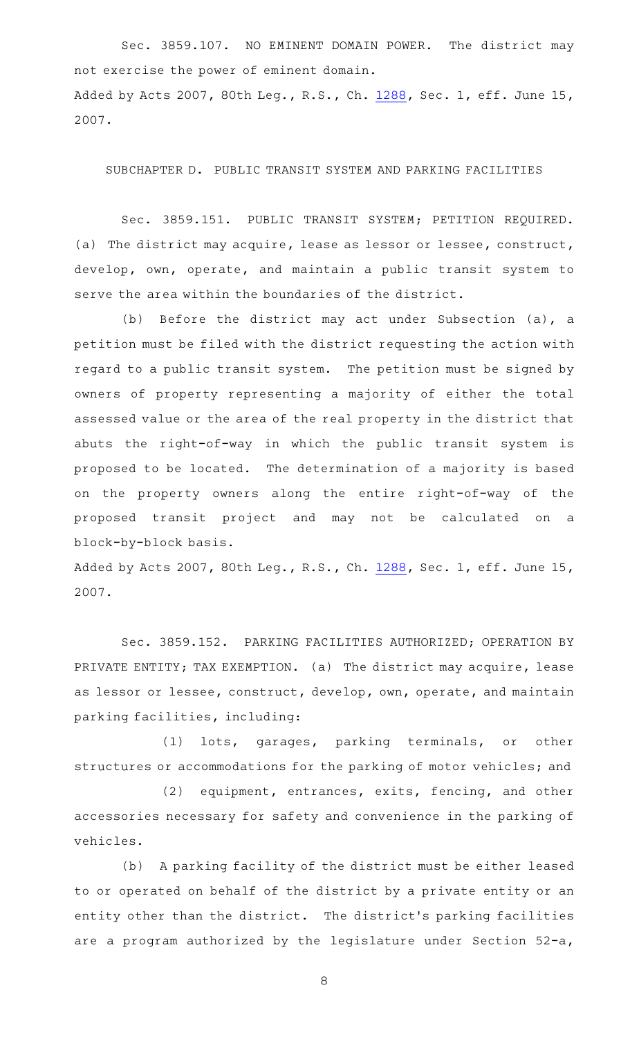Sec. 3859.107. NO EMINENT DOMAIN POWER. The district may not exercise the power of eminent domain. Added by Acts 2007, 80th Leg., R.S., Ch. [1288,](http://www.legis.state.tx.us/tlodocs/80R/billtext/html/HB04110F.HTM) Sec. 1, eff. June 15, 2007.

SUBCHAPTER D. PUBLIC TRANSIT SYSTEM AND PARKING FACILITIES

Sec. 3859.151. PUBLIC TRANSIT SYSTEM; PETITION REQUIRED. (a) The district may acquire, lease as lessor or lessee, construct, develop, own, operate, and maintain a public transit system to serve the area within the boundaries of the district.

(b) Before the district may act under Subsection (a), a petition must be filed with the district requesting the action with regard to a public transit system. The petition must be signed by owners of property representing a majority of either the total assessed value or the area of the real property in the district that abuts the right-of-way in which the public transit system is proposed to be located. The determination of a majority is based on the property owners along the entire right-of-way of the proposed transit project and may not be calculated on a block-by-block basis.

Added by Acts 2007, 80th Leg., R.S., Ch. [1288,](http://www.legis.state.tx.us/tlodocs/80R/billtext/html/HB04110F.HTM) Sec. 1, eff. June 15, 2007.

Sec. 3859.152. PARKING FACILITIES AUTHORIZED; OPERATION BY PRIVATE ENTITY; TAX EXEMPTION. (a) The district may acquire, lease as lessor or lessee, construct, develop, own, operate, and maintain parking facilities, including:

(1) lots, garages, parking terminals, or other structures or accommodations for the parking of motor vehicles; and

(2) equipment, entrances, exits, fencing, and other accessories necessary for safety and convenience in the parking of vehicles.

(b) A parking facility of the district must be either leased to or operated on behalf of the district by a private entity or an entity other than the district. The district's parking facilities are a program authorized by the legislature under Section 52-a,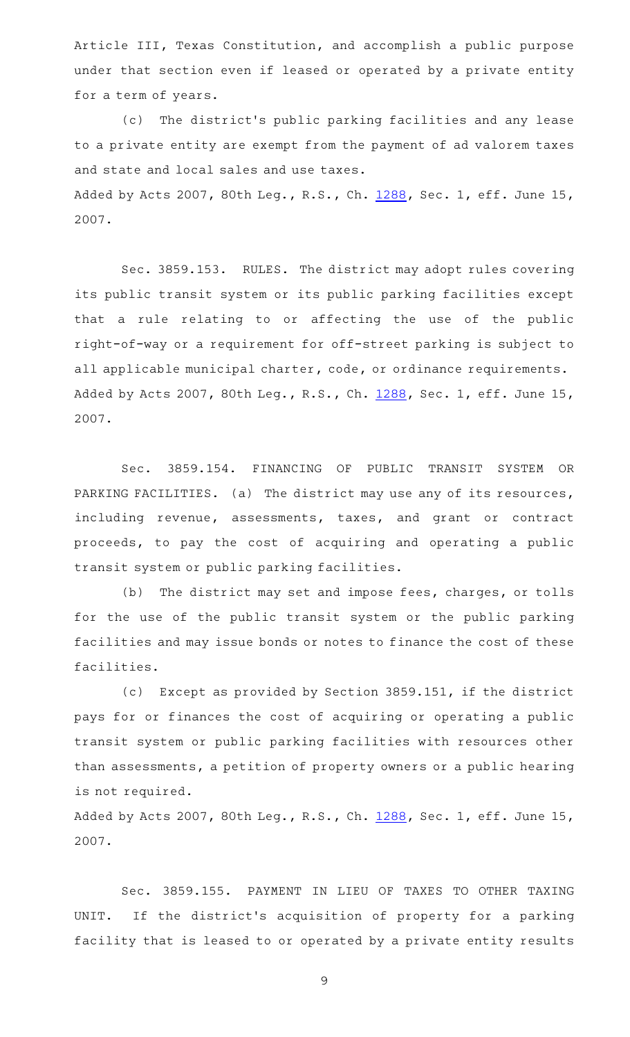Article III, Texas Constitution, and accomplish a public purpose under that section even if leased or operated by a private entity for a term of years.

(c) The district's public parking facilities and any lease to a private entity are exempt from the payment of ad valorem taxes and state and local sales and use taxes.

Added by Acts 2007, 80th Leg., R.S., Ch. [1288,](http://www.legis.state.tx.us/tlodocs/80R/billtext/html/HB04110F.HTM) Sec. 1, eff. June 15, 2007.

Sec. 3859.153. RULES. The district may adopt rules covering its public transit system or its public parking facilities except that a rule relating to or affecting the use of the public right-of-way or a requirement for off-street parking is subject to all applicable municipal charter, code, or ordinance requirements. Added by Acts 2007, 80th Leg., R.S., Ch. [1288,](http://www.legis.state.tx.us/tlodocs/80R/billtext/html/HB04110F.HTM) Sec. 1, eff. June 15, 2007.

Sec. 3859.154. FINANCING OF PUBLIC TRANSIT SYSTEM OR PARKING FACILITIES. (a) The district may use any of its resources, including revenue, assessments, taxes, and grant or contract proceeds, to pay the cost of acquiring and operating a public transit system or public parking facilities.

(b) The district may set and impose fees, charges, or tolls for the use of the public transit system or the public parking facilities and may issue bonds or notes to finance the cost of these facilities.

(c) Except as provided by Section 3859.151, if the district pays for or finances the cost of acquiring or operating a public transit system or public parking facilities with resources other than assessments, a petition of property owners or a public hearing is not required.

Added by Acts 2007, 80th Leg., R.S., Ch. [1288,](http://www.legis.state.tx.us/tlodocs/80R/billtext/html/HB04110F.HTM) Sec. 1, eff. June 15, 2007.

Sec. 3859.155. PAYMENT IN LIEU OF TAXES TO OTHER TAXING UNIT. If the district 's acquisition of property for a parking facility that is leased to or operated by a private entity results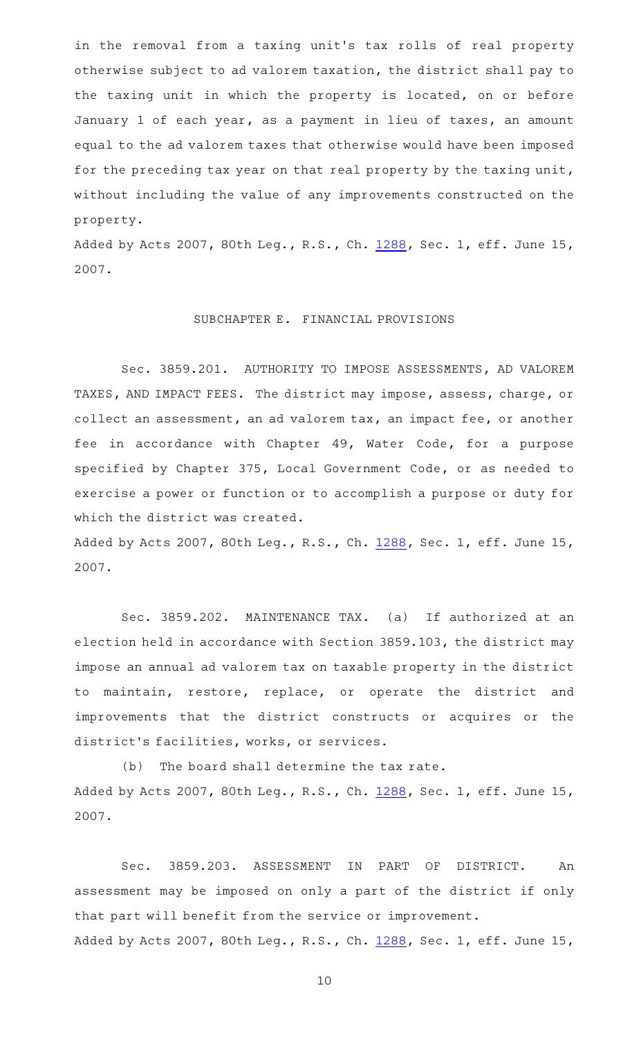in the removal from a taxing unit 's tax rolls of real property otherwise subject to ad valorem taxation, the district shall pay to the taxing unit in which the property is located, on or before January 1 of each year, as a payment in lieu of taxes, an amount equal to the ad valorem taxes that otherwise would have been imposed for the preceding tax year on that real property by the taxing unit, without including the value of any improvements constructed on the property.

Added by Acts 2007, 80th Leg., R.S., Ch. [1288,](http://www.legis.state.tx.us/tlodocs/80R/billtext/html/HB04110F.HTM) Sec. 1, eff. June 15, 2007.

### SUBCHAPTER E. FINANCIAL PROVISIONS

Sec. 3859.201. AUTHORITY TO IMPOSE ASSESSMENTS, AD VALOREM TAXES, AND IMPACT FEES. The district may impose, assess, charge, or collect an assessment, an ad valorem tax, an impact fee, or another fee in accordance with Chapter 49, Water Code, for a purpose specified by Chapter 375, Local Government Code, or as needed to exercise a power or function or to accomplish a purpose or duty for which the district was created.

Added by Acts 2007, 80th Leg., R.S., Ch. [1288,](http://www.legis.state.tx.us/tlodocs/80R/billtext/html/HB04110F.HTM) Sec. 1, eff. June 15, 2007.

Sec. 3859.202. MAINTENANCE TAX. (a) If authorized at an election held in accordance with Section 3859.103, the district may impose an annual ad valorem tax on taxable property in the district to maintain, restore, replace, or operate the district and improvements that the district constructs or acquires or the district 's facilities, works, or services.

 $(b)$  The board shall determine the tax rate. Added by Acts 2007, 80th Leg., R.S., Ch. [1288,](http://www.legis.state.tx.us/tlodocs/80R/billtext/html/HB04110F.HTM) Sec. 1, eff. June 15, 2007.

Sec. 3859.203. ASSESSMENT IN PART OF DISTRICT. An assessment may be imposed on only a part of the district if only that part will benefit from the service or improvement. Added by Acts 2007, 80th Leg., R.S., Ch. [1288,](http://www.legis.state.tx.us/tlodocs/80R/billtext/html/HB04110F.HTM) Sec. 1, eff. June 15,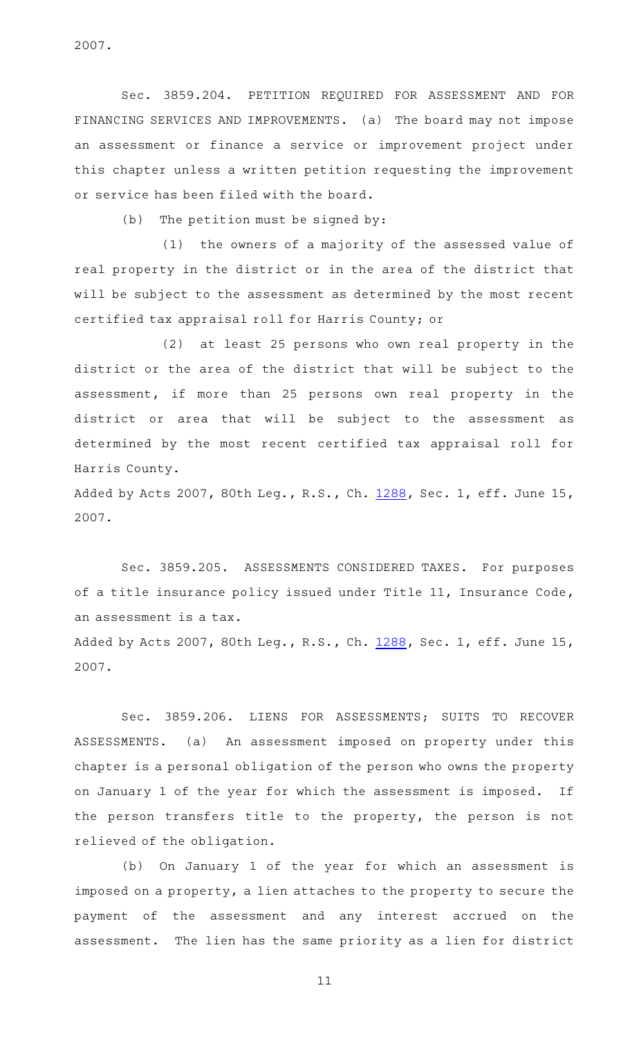2007.

Sec. 3859.204. PETITION REQUIRED FOR ASSESSMENT AND FOR FINANCING SERVICES AND IMPROVEMENTS. (a) The board may not impose an assessment or finance a service or improvement project under this chapter unless a written petition requesting the improvement or service has been filed with the board.

 $(b)$  The petition must be signed by:

 $(1)$  the owners of a majority of the assessed value of real property in the district or in the area of the district that will be subject to the assessment as determined by the most recent certified tax appraisal roll for Harris County; or

(2) at least 25 persons who own real property in the district or the area of the district that will be subject to the assessment, if more than 25 persons own real property in the district or area that will be subject to the assessment as determined by the most recent certified tax appraisal roll for Harris County.

Added by Acts 2007, 80th Leg., R.S., Ch. [1288,](http://www.legis.state.tx.us/tlodocs/80R/billtext/html/HB04110F.HTM) Sec. 1, eff. June 15, 2007.

Sec. 3859.205. ASSESSMENTS CONSIDERED TAXES. For purposes of a title insurance policy issued under Title 11, Insurance Code, an assessment is a tax.

Added by Acts 2007, 80th Leg., R.S., Ch. [1288,](http://www.legis.state.tx.us/tlodocs/80R/billtext/html/HB04110F.HTM) Sec. 1, eff. June 15, 2007.

Sec. 3859.206. LIENS FOR ASSESSMENTS; SUITS TO RECOVER ASSESSMENTS. (a) An assessment imposed on property under this chapter is a personal obligation of the person who owns the property on January 1 of the year for which the assessment is imposed. If the person transfers title to the property, the person is not relieved of the obligation.

(b) On January 1 of the year for which an assessment is imposed on a property, a lien attaches to the property to secure the payment of the assessment and any interest accrued on the assessment. The lien has the same priority as a lien for district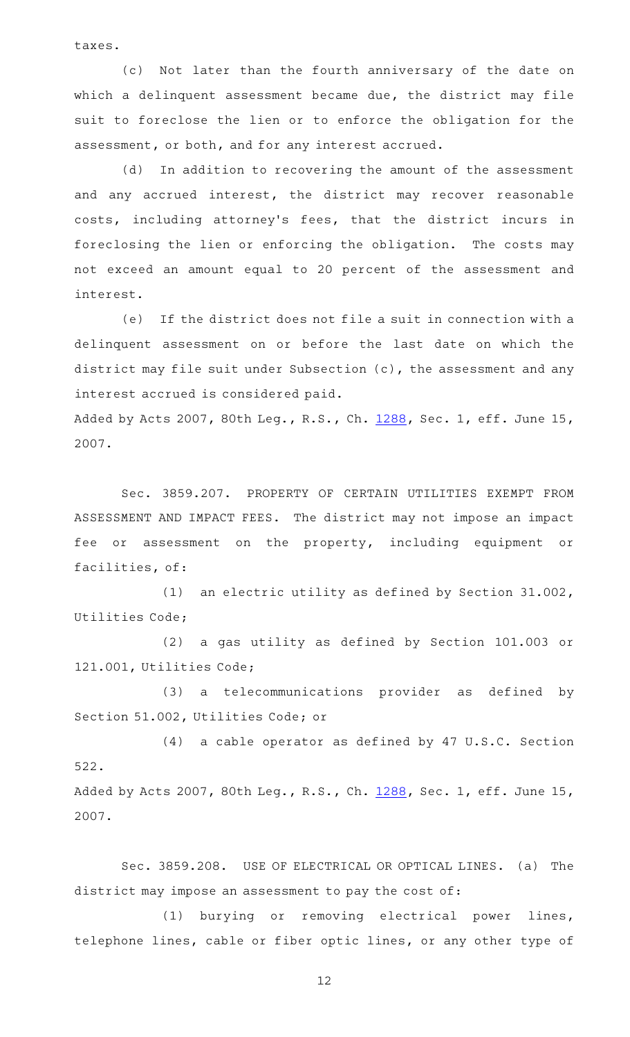taxes.

(c) Not later than the fourth anniversary of the date on which a delinquent assessment became due, the district may file suit to foreclose the lien or to enforce the obligation for the assessment, or both, and for any interest accrued.

(d) In addition to recovering the amount of the assessment and any accrued interest, the district may recover reasonable costs, including attorney's fees, that the district incurs in foreclosing the lien or enforcing the obligation. The costs may not exceed an amount equal to 20 percent of the assessment and interest.

(e) If the district does not file a suit in connection with a delinquent assessment on or before the last date on which the district may file suit under Subsection (c), the assessment and any interest accrued is considered paid.

Added by Acts 2007, 80th Leg., R.S., Ch. [1288,](http://www.legis.state.tx.us/tlodocs/80R/billtext/html/HB04110F.HTM) Sec. 1, eff. June 15, 2007.

Sec. 3859.207. PROPERTY OF CERTAIN UTILITIES EXEMPT FROM ASSESSMENT AND IMPACT FEES. The district may not impose an impact fee or assessment on the property, including equipment or facilities, of:

(1) an electric utility as defined by Section  $31.002$ , Utilities Code;

(2) a gas utility as defined by Section 101.003 or 121.001, Utilities Code;

(3) a telecommunications provider as defined by Section 51.002, Utilities Code; or

 $(4)$  a cable operator as defined by 47 U.S.C. Section 522.

Added by Acts 2007, 80th Leg., R.S., Ch. [1288,](http://www.legis.state.tx.us/tlodocs/80R/billtext/html/HB04110F.HTM) Sec. 1, eff. June 15, 2007.

Sec. 3859.208. USE OF ELECTRICAL OR OPTICAL LINES. (a) The district may impose an assessment to pay the cost of:

(1) burying or removing electrical power lines, telephone lines, cable or fiber optic lines, or any other type of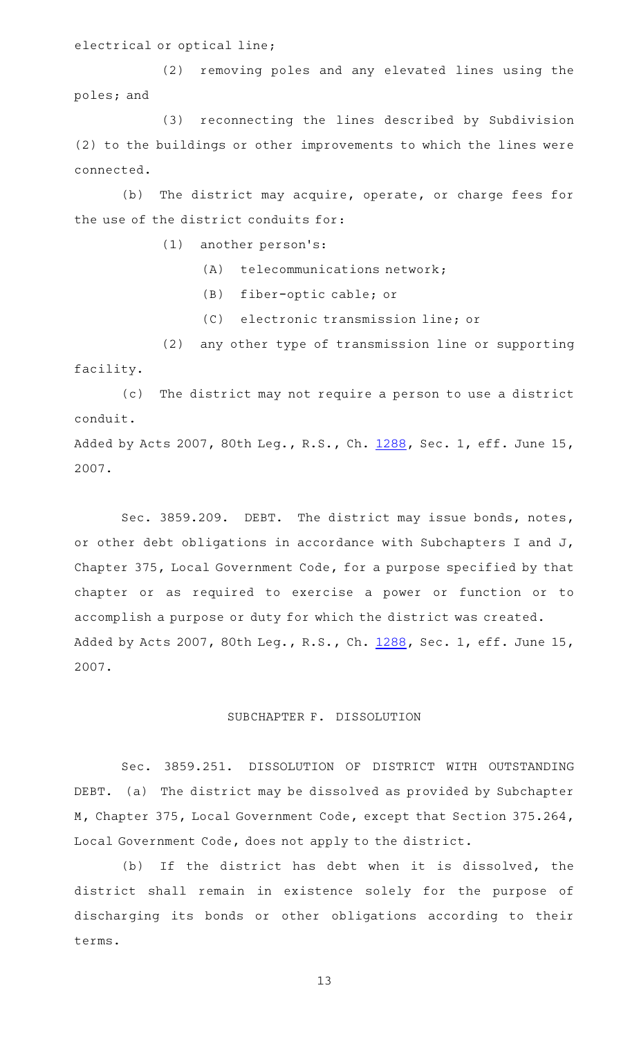electrical or optical line;

(2) removing poles and any elevated lines using the poles; and

(3) reconnecting the lines described by Subdivision (2) to the buildings or other improvements to which the lines were connected.

(b) The district may acquire, operate, or charge fees for the use of the district conduits for:

 $(1)$  another person's:

- $(A)$  telecommunications network;
- (B) fiber-optic cable; or
- (C) electronic transmission line; or

(2) any other type of transmission line or supporting facility.

(c) The district may not require a person to use a district conduit.

Added by Acts 2007, 80th Leg., R.S., Ch. [1288,](http://www.legis.state.tx.us/tlodocs/80R/billtext/html/HB04110F.HTM) Sec. 1, eff. June 15, 2007.

Sec. 3859.209. DEBT. The district may issue bonds, notes, or other debt obligations in accordance with Subchapters I and J, Chapter 375, Local Government Code, for a purpose specified by that chapter or as required to exercise a power or function or to accomplish a purpose or duty for which the district was created. Added by Acts 2007, 80th Leg., R.S., Ch. [1288,](http://www.legis.state.tx.us/tlodocs/80R/billtext/html/HB04110F.HTM) Sec. 1, eff. June 15, 2007.

## SUBCHAPTER F. DISSOLUTION

Sec. 3859.251. DISSOLUTION OF DISTRICT WITH OUTSTANDING DEBT. (a) The district may be dissolved as provided by Subchapter M, Chapter 375, Local Government Code, except that Section 375.264, Local Government Code, does not apply to the district.

(b) If the district has debt when it is dissolved, the district shall remain in existence solely for the purpose of discharging its bonds or other obligations according to their terms.